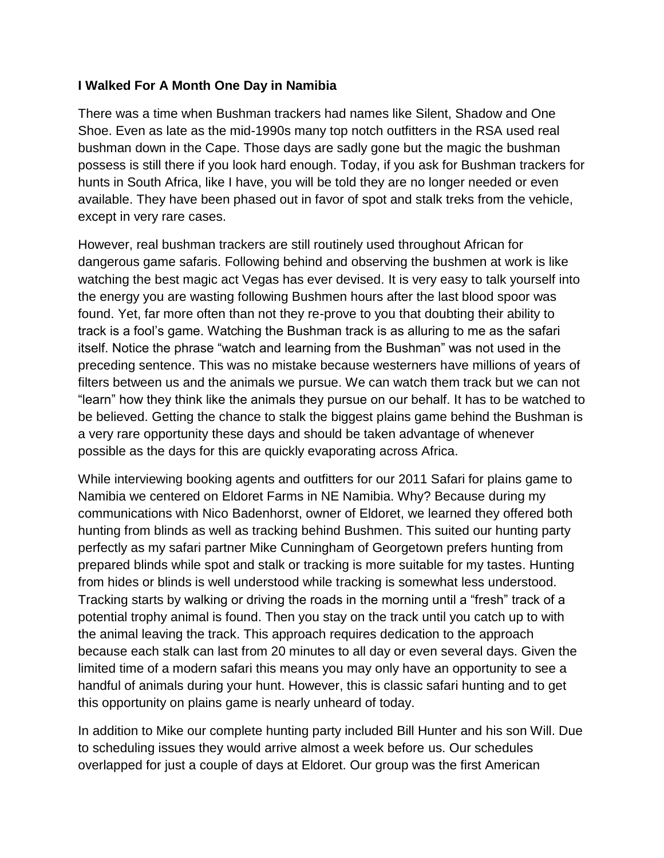## **I Walked For A Month One Day in Namibia**

There was a time when Bushman trackers had names like Silent, Shadow and One Shoe. Even as late as the mid-1990s many top notch outfitters in the RSA used real bushman down in the Cape. Those days are sadly gone but the magic the bushman possess is still there if you look hard enough. Today, if you ask for Bushman trackers for hunts in South Africa, like I have, you will be told they are no longer needed or even available. They have been phased out in favor of spot and stalk treks from the vehicle, except in very rare cases.

However, real bushman trackers are still routinely used throughout African for dangerous game safaris. Following behind and observing the bushmen at work is like watching the best magic act Vegas has ever devised. It is very easy to talk yourself into the energy you are wasting following Bushmen hours after the last blood spoor was found. Yet, far more often than not they re-prove to you that doubting their ability to track is a fool's game. Watching the Bushman track is as alluring to me as the safari itself. Notice the phrase "watch and learning from the Bushman" was not used in the preceding sentence. This was no mistake because westerners have millions of years of filters between us and the animals we pursue. We can watch them track but we can not "learn" how they think like the animals they pursue on our behalf. It has to be watched to be believed. Getting the chance to stalk the biggest plains game behind the Bushman is a very rare opportunity these days and should be taken advantage of whenever possible as the days for this are quickly evaporating across Africa.

While interviewing booking agents and outfitters for our 2011 Safari for plains game to Namibia we centered on Eldoret Farms in NE Namibia. Why? Because during my communications with Nico Badenhorst, owner of Eldoret, we learned they offered both hunting from blinds as well as tracking behind Bushmen. This suited our hunting party perfectly as my safari partner Mike Cunningham of Georgetown prefers hunting from prepared blinds while spot and stalk or tracking is more suitable for my tastes. Hunting from hides or blinds is well understood while tracking is somewhat less understood. Tracking starts by walking or driving the roads in the morning until a "fresh" track of a potential trophy animal is found. Then you stay on the track until you catch up to with the animal leaving the track. This approach requires dedication to the approach because each stalk can last from 20 minutes to all day or even several days. Given the limited time of a modern safari this means you may only have an opportunity to see a handful of animals during your hunt. However, this is classic safari hunting and to get this opportunity on plains game is nearly unheard of today.

In addition to Mike our complete hunting party included Bill Hunter and his son Will. Due to scheduling issues they would arrive almost a week before us. Our schedules overlapped for just a couple of days at Eldoret. Our group was the first American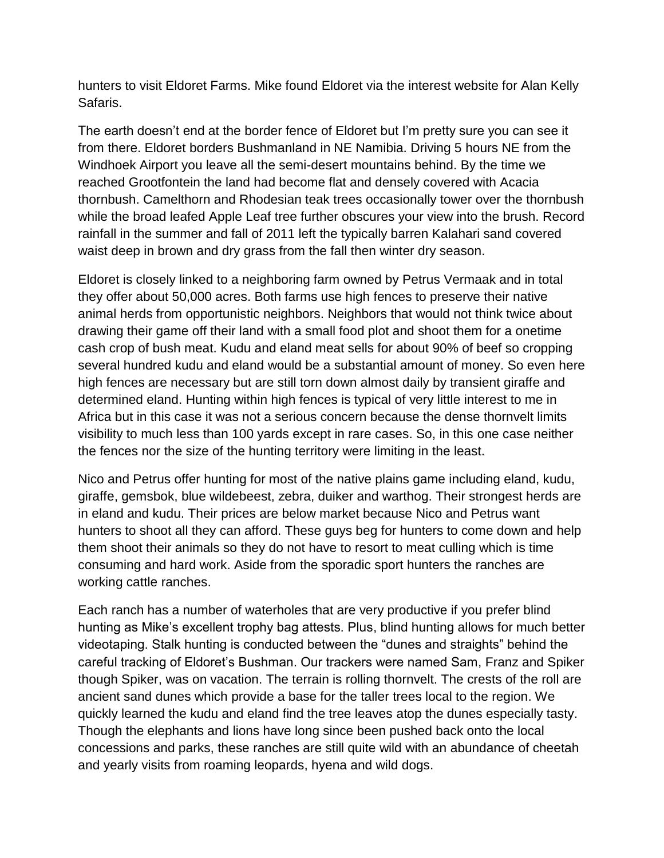hunters to visit Eldoret Farms. Mike found Eldoret via the interest website for Alan Kelly Safaris.

The earth doesn't end at the border fence of Eldoret but I'm pretty sure you can see it from there. Eldoret borders Bushmanland in NE Namibia. Driving 5 hours NE from the Windhoek Airport you leave all the semi-desert mountains behind. By the time we reached Grootfontein the land had become flat and densely covered with Acacia thornbush. Camelthorn and Rhodesian teak trees occasionally tower over the thornbush while the broad leafed Apple Leaf tree further obscures your view into the brush. Record rainfall in the summer and fall of 2011 left the typically barren Kalahari sand covered waist deep in brown and dry grass from the fall then winter dry season.

Eldoret is closely linked to a neighboring farm owned by Petrus Vermaak and in total they offer about 50,000 acres. Both farms use high fences to preserve their native animal herds from opportunistic neighbors. Neighbors that would not think twice about drawing their game off their land with a small food plot and shoot them for a onetime cash crop of bush meat. Kudu and eland meat sells for about 90% of beef so cropping several hundred kudu and eland would be a substantial amount of money. So even here high fences are necessary but are still torn down almost daily by transient giraffe and determined eland. Hunting within high fences is typical of very little interest to me in Africa but in this case it was not a serious concern because the dense thornvelt limits visibility to much less than 100 yards except in rare cases. So, in this one case neither the fences nor the size of the hunting territory were limiting in the least.

Nico and Petrus offer hunting for most of the native plains game including eland, kudu, giraffe, gemsbok, blue wildebeest, zebra, duiker and warthog. Their strongest herds are in eland and kudu. Their prices are below market because Nico and Petrus want hunters to shoot all they can afford. These guys beg for hunters to come down and help them shoot their animals so they do not have to resort to meat culling which is time consuming and hard work. Aside from the sporadic sport hunters the ranches are working cattle ranches.

Each ranch has a number of waterholes that are very productive if you prefer blind hunting as Mike's excellent trophy bag attests. Plus, blind hunting allows for much better videotaping. Stalk hunting is conducted between the "dunes and straights" behind the careful tracking of Eldoret's Bushman. Our trackers were named Sam, Franz and Spiker though Spiker, was on vacation. The terrain is rolling thornvelt. The crests of the roll are ancient sand dunes which provide a base for the taller trees local to the region. We quickly learned the kudu and eland find the tree leaves atop the dunes especially tasty. Though the elephants and lions have long since been pushed back onto the local concessions and parks, these ranches are still quite wild with an abundance of cheetah and yearly visits from roaming leopards, hyena and wild dogs.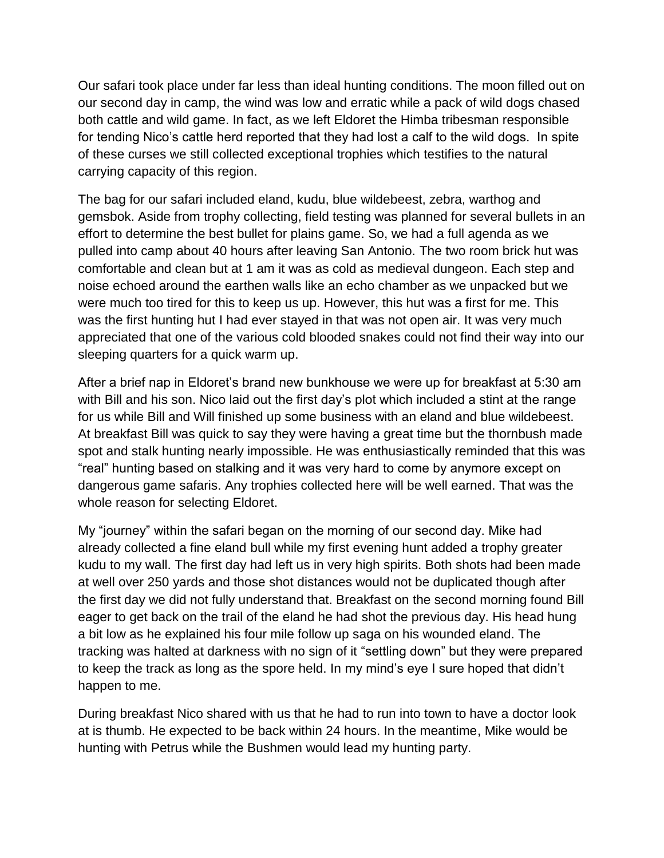Our safari took place under far less than ideal hunting conditions. The moon filled out on our second day in camp, the wind was low and erratic while a pack of wild dogs chased both cattle and wild game. In fact, as we left Eldoret the Himba tribesman responsible for tending Nico's cattle herd reported that they had lost a calf to the wild dogs. In spite of these curses we still collected exceptional trophies which testifies to the natural carrying capacity of this region.

The bag for our safari included eland, kudu, blue wildebeest, zebra, warthog and gemsbok. Aside from trophy collecting, field testing was planned for several bullets in an effort to determine the best bullet for plains game. So, we had a full agenda as we pulled into camp about 40 hours after leaving San Antonio. The two room brick hut was comfortable and clean but at 1 am it was as cold as medieval dungeon. Each step and noise echoed around the earthen walls like an echo chamber as we unpacked but we were much too tired for this to keep us up. However, this hut was a first for me. This was the first hunting hut I had ever stayed in that was not open air. It was very much appreciated that one of the various cold blooded snakes could not find their way into our sleeping quarters for a quick warm up.

After a brief nap in Eldoret's brand new bunkhouse we were up for breakfast at 5:30 am with Bill and his son. Nico laid out the first day's plot which included a stint at the range for us while Bill and Will finished up some business with an eland and blue wildebeest. At breakfast Bill was quick to say they were having a great time but the thornbush made spot and stalk hunting nearly impossible. He was enthusiastically reminded that this was "real" hunting based on stalking and it was very hard to come by anymore except on dangerous game safaris. Any trophies collected here will be well earned. That was the whole reason for selecting Eldoret.

My "journey" within the safari began on the morning of our second day. Mike had already collected a fine eland bull while my first evening hunt added a trophy greater kudu to my wall. The first day had left us in very high spirits. Both shots had been made at well over 250 yards and those shot distances would not be duplicated though after the first day we did not fully understand that. Breakfast on the second morning found Bill eager to get back on the trail of the eland he had shot the previous day. His head hung a bit low as he explained his four mile follow up saga on his wounded eland. The tracking was halted at darkness with no sign of it "settling down" but they were prepared to keep the track as long as the spore held. In my mind's eye I sure hoped that didn't happen to me.

During breakfast Nico shared with us that he had to run into town to have a doctor look at is thumb. He expected to be back within 24 hours. In the meantime, Mike would be hunting with Petrus while the Bushmen would lead my hunting party.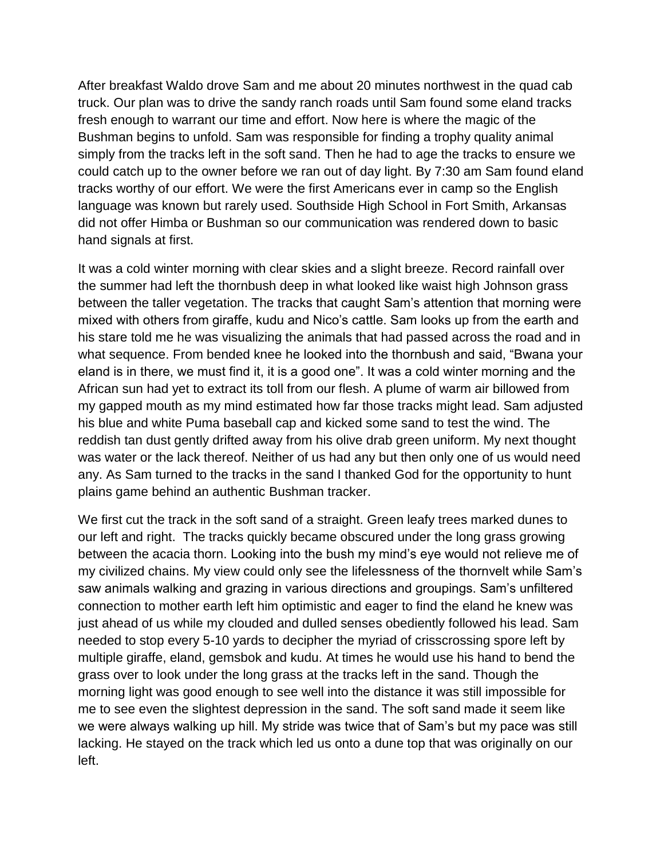After breakfast Waldo drove Sam and me about 20 minutes northwest in the quad cab truck. Our plan was to drive the sandy ranch roads until Sam found some eland tracks fresh enough to warrant our time and effort. Now here is where the magic of the Bushman begins to unfold. Sam was responsible for finding a trophy quality animal simply from the tracks left in the soft sand. Then he had to age the tracks to ensure we could catch up to the owner before we ran out of day light. By 7:30 am Sam found eland tracks worthy of our effort. We were the first Americans ever in camp so the English language was known but rarely used. Southside High School in Fort Smith, Arkansas did not offer Himba or Bushman so our communication was rendered down to basic hand signals at first.

It was a cold winter morning with clear skies and a slight breeze. Record rainfall over the summer had left the thornbush deep in what looked like waist high Johnson grass between the taller vegetation. The tracks that caught Sam's attention that morning were mixed with others from giraffe, kudu and Nico's cattle. Sam looks up from the earth and his stare told me he was visualizing the animals that had passed across the road and in what sequence. From bended knee he looked into the thornbush and said, "Bwana your eland is in there, we must find it, it is a good one". It was a cold winter morning and the African sun had yet to extract its toll from our flesh. A plume of warm air billowed from my gapped mouth as my mind estimated how far those tracks might lead. Sam adjusted his blue and white Puma baseball cap and kicked some sand to test the wind. The reddish tan dust gently drifted away from his olive drab green uniform. My next thought was water or the lack thereof. Neither of us had any but then only one of us would need any. As Sam turned to the tracks in the sand I thanked God for the opportunity to hunt plains game behind an authentic Bushman tracker.

We first cut the track in the soft sand of a straight. Green leafy trees marked dunes to our left and right. The tracks quickly became obscured under the long grass growing between the acacia thorn. Looking into the bush my mind's eye would not relieve me of my civilized chains. My view could only see the lifelessness of the thornvelt while Sam's saw animals walking and grazing in various directions and groupings. Sam's unfiltered connection to mother earth left him optimistic and eager to find the eland he knew was just ahead of us while my clouded and dulled senses obediently followed his lead. Sam needed to stop every 5-10 yards to decipher the myriad of crisscrossing spore left by multiple giraffe, eland, gemsbok and kudu. At times he would use his hand to bend the grass over to look under the long grass at the tracks left in the sand. Though the morning light was good enough to see well into the distance it was still impossible for me to see even the slightest depression in the sand. The soft sand made it seem like we were always walking up hill. My stride was twice that of Sam's but my pace was still lacking. He stayed on the track which led us onto a dune top that was originally on our left.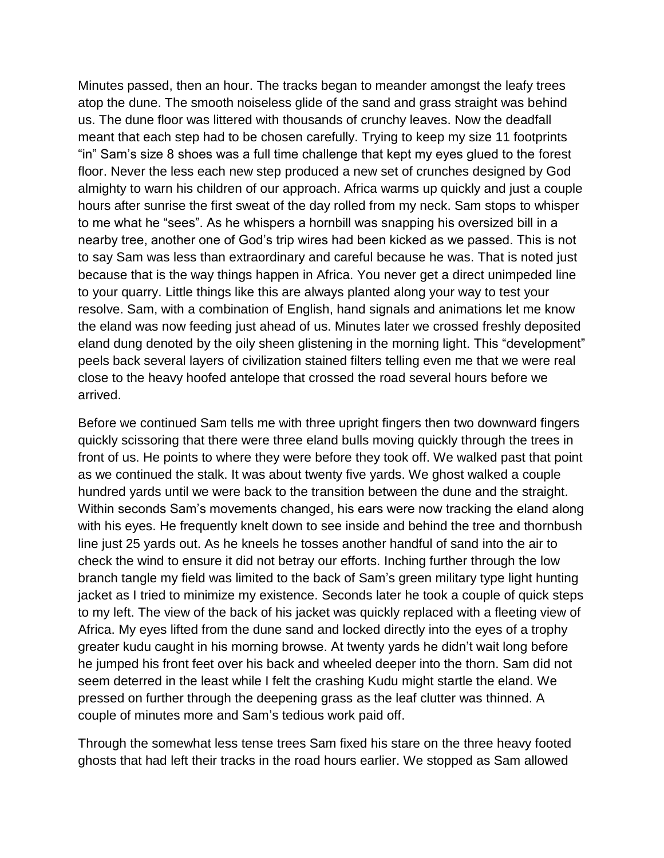Minutes passed, then an hour. The tracks began to meander amongst the leafy trees atop the dune. The smooth noiseless glide of the sand and grass straight was behind us. The dune floor was littered with thousands of crunchy leaves. Now the deadfall meant that each step had to be chosen carefully. Trying to keep my size 11 footprints "in" Sam's size 8 shoes was a full time challenge that kept my eyes glued to the forest floor. Never the less each new step produced a new set of crunches designed by God almighty to warn his children of our approach. Africa warms up quickly and just a couple hours after sunrise the first sweat of the day rolled from my neck. Sam stops to whisper to me what he "sees". As he whispers a hornbill was snapping his oversized bill in a nearby tree, another one of God's trip wires had been kicked as we passed. This is not to say Sam was less than extraordinary and careful because he was. That is noted just because that is the way things happen in Africa. You never get a direct unimpeded line to your quarry. Little things like this are always planted along your way to test your resolve. Sam, with a combination of English, hand signals and animations let me know the eland was now feeding just ahead of us. Minutes later we crossed freshly deposited eland dung denoted by the oily sheen glistening in the morning light. This "development" peels back several layers of civilization stained filters telling even me that we were real close to the heavy hoofed antelope that crossed the road several hours before we arrived.

Before we continued Sam tells me with three upright fingers then two downward fingers quickly scissoring that there were three eland bulls moving quickly through the trees in front of us. He points to where they were before they took off. We walked past that point as we continued the stalk. It was about twenty five yards. We ghost walked a couple hundred yards until we were back to the transition between the dune and the straight. Within seconds Sam's movements changed, his ears were now tracking the eland along with his eyes. He frequently knelt down to see inside and behind the tree and thornbush line just 25 yards out. As he kneels he tosses another handful of sand into the air to check the wind to ensure it did not betray our efforts. Inching further through the low branch tangle my field was limited to the back of Sam's green military type light hunting jacket as I tried to minimize my existence. Seconds later he took a couple of quick steps to my left. The view of the back of his jacket was quickly replaced with a fleeting view of Africa. My eyes lifted from the dune sand and locked directly into the eyes of a trophy greater kudu caught in his morning browse. At twenty yards he didn't wait long before he jumped his front feet over his back and wheeled deeper into the thorn. Sam did not seem deterred in the least while I felt the crashing Kudu might startle the eland. We pressed on further through the deepening grass as the leaf clutter was thinned. A couple of minutes more and Sam's tedious work paid off.

Through the somewhat less tense trees Sam fixed his stare on the three heavy footed ghosts that had left their tracks in the road hours earlier. We stopped as Sam allowed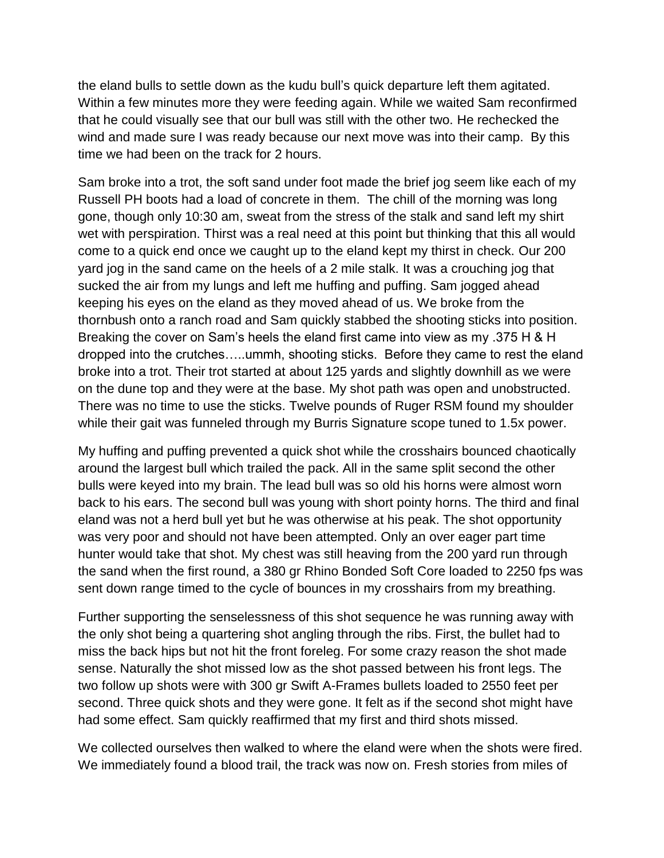the eland bulls to settle down as the kudu bull's quick departure left them agitated. Within a few minutes more they were feeding again. While we waited Sam reconfirmed that he could visually see that our bull was still with the other two. He rechecked the wind and made sure I was ready because our next move was into their camp. By this time we had been on the track for 2 hours.

Sam broke into a trot, the soft sand under foot made the brief jog seem like each of my Russell PH boots had a load of concrete in them. The chill of the morning was long gone, though only 10:30 am, sweat from the stress of the stalk and sand left my shirt wet with perspiration. Thirst was a real need at this point but thinking that this all would come to a quick end once we caught up to the eland kept my thirst in check. Our 200 yard jog in the sand came on the heels of a 2 mile stalk. It was a crouching jog that sucked the air from my lungs and left me huffing and puffing. Sam jogged ahead keeping his eyes on the eland as they moved ahead of us. We broke from the thornbush onto a ranch road and Sam quickly stabbed the shooting sticks into position. Breaking the cover on Sam's heels the eland first came into view as my .375 H & H dropped into the crutches…..ummh, shooting sticks. Before they came to rest the eland broke into a trot. Their trot started at about 125 yards and slightly downhill as we were on the dune top and they were at the base. My shot path was open and unobstructed. There was no time to use the sticks. Twelve pounds of Ruger RSM found my shoulder while their gait was funneled through my Burris Signature scope tuned to 1.5x power.

My huffing and puffing prevented a quick shot while the crosshairs bounced chaotically around the largest bull which trailed the pack. All in the same split second the other bulls were keyed into my brain. The lead bull was so old his horns were almost worn back to his ears. The second bull was young with short pointy horns. The third and final eland was not a herd bull yet but he was otherwise at his peak. The shot opportunity was very poor and should not have been attempted. Only an over eager part time hunter would take that shot. My chest was still heaving from the 200 yard run through the sand when the first round, a 380 gr Rhino Bonded Soft Core loaded to 2250 fps was sent down range timed to the cycle of bounces in my crosshairs from my breathing.

Further supporting the senselessness of this shot sequence he was running away with the only shot being a quartering shot angling through the ribs. First, the bullet had to miss the back hips but not hit the front foreleg. For some crazy reason the shot made sense. Naturally the shot missed low as the shot passed between his front legs. The two follow up shots were with 300 gr Swift A-Frames bullets loaded to 2550 feet per second. Three quick shots and they were gone. It felt as if the second shot might have had some effect. Sam quickly reaffirmed that my first and third shots missed.

We collected ourselves then walked to where the eland were when the shots were fired. We immediately found a blood trail, the track was now on. Fresh stories from miles of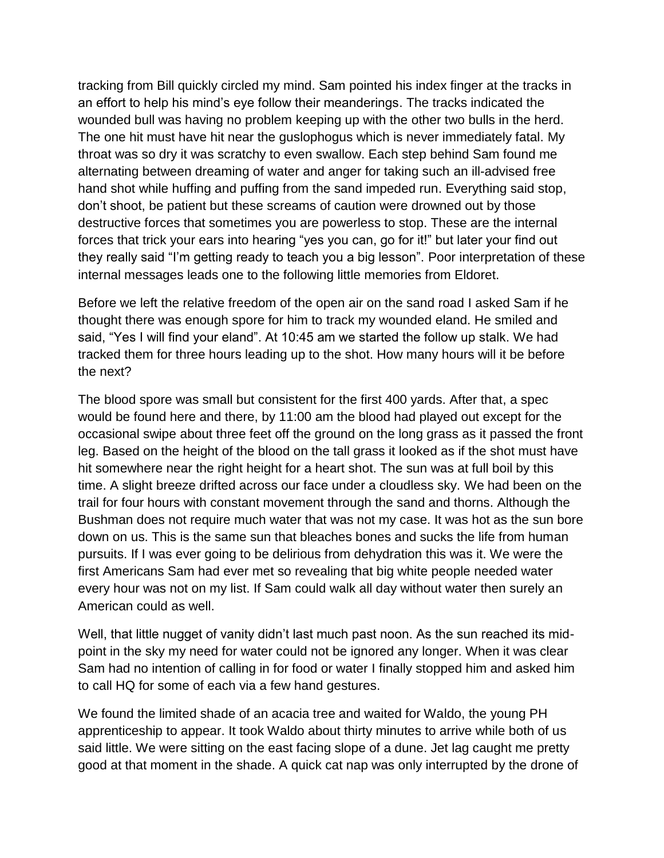tracking from Bill quickly circled my mind. Sam pointed his index finger at the tracks in an effort to help his mind's eye follow their meanderings. The tracks indicated the wounded bull was having no problem keeping up with the other two bulls in the herd. The one hit must have hit near the guslophogus which is never immediately fatal. My throat was so dry it was scratchy to even swallow. Each step behind Sam found me alternating between dreaming of water and anger for taking such an ill-advised free hand shot while huffing and puffing from the sand impeded run. Everything said stop, don't shoot, be patient but these screams of caution were drowned out by those destructive forces that sometimes you are powerless to stop. These are the internal forces that trick your ears into hearing "yes you can, go for it!" but later your find out they really said "I'm getting ready to teach you a big lesson". Poor interpretation of these internal messages leads one to the following little memories from Eldoret.

Before we left the relative freedom of the open air on the sand road I asked Sam if he thought there was enough spore for him to track my wounded eland. He smiled and said, "Yes I will find your eland". At 10:45 am we started the follow up stalk. We had tracked them for three hours leading up to the shot. How many hours will it be before the next?

The blood spore was small but consistent for the first 400 yards. After that, a spec would be found here and there, by 11:00 am the blood had played out except for the occasional swipe about three feet off the ground on the long grass as it passed the front leg. Based on the height of the blood on the tall grass it looked as if the shot must have hit somewhere near the right height for a heart shot. The sun was at full boil by this time. A slight breeze drifted across our face under a cloudless sky. We had been on the trail for four hours with constant movement through the sand and thorns. Although the Bushman does not require much water that was not my case. It was hot as the sun bore down on us. This is the same sun that bleaches bones and sucks the life from human pursuits. If I was ever going to be delirious from dehydration this was it. We were the first Americans Sam had ever met so revealing that big white people needed water every hour was not on my list. If Sam could walk all day without water then surely an American could as well.

Well, that little nugget of vanity didn't last much past noon. As the sun reached its midpoint in the sky my need for water could not be ignored any longer. When it was clear Sam had no intention of calling in for food or water I finally stopped him and asked him to call HQ for some of each via a few hand gestures.

We found the limited shade of an acacia tree and waited for Waldo, the young PH apprenticeship to appear. It took Waldo about thirty minutes to arrive while both of us said little. We were sitting on the east facing slope of a dune. Jet lag caught me pretty good at that moment in the shade. A quick cat nap was only interrupted by the drone of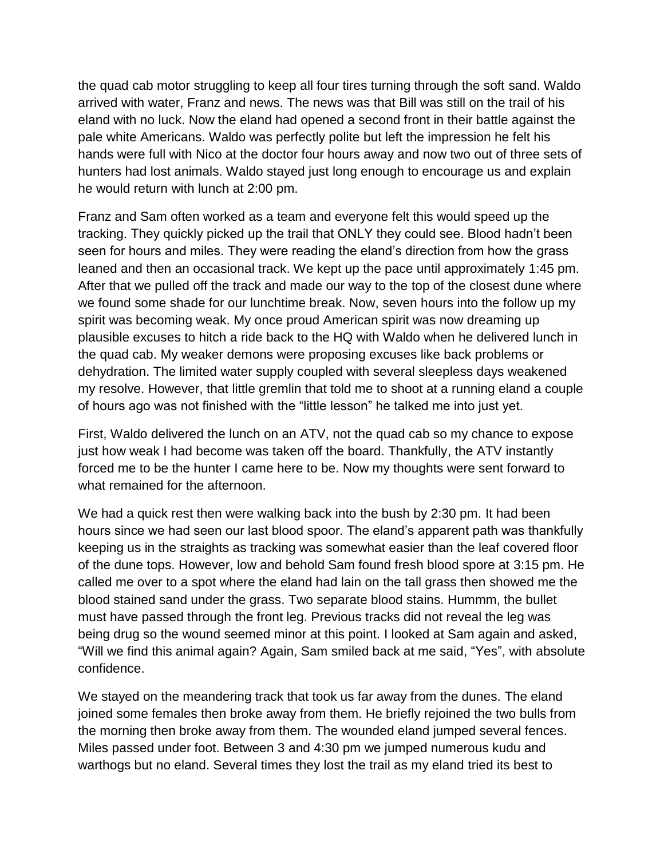the quad cab motor struggling to keep all four tires turning through the soft sand. Waldo arrived with water, Franz and news. The news was that Bill was still on the trail of his eland with no luck. Now the eland had opened a second front in their battle against the pale white Americans. Waldo was perfectly polite but left the impression he felt his hands were full with Nico at the doctor four hours away and now two out of three sets of hunters had lost animals. Waldo stayed just long enough to encourage us and explain he would return with lunch at 2:00 pm.

Franz and Sam often worked as a team and everyone felt this would speed up the tracking. They quickly picked up the trail that ONLY they could see. Blood hadn't been seen for hours and miles. They were reading the eland's direction from how the grass leaned and then an occasional track. We kept up the pace until approximately 1:45 pm. After that we pulled off the track and made our way to the top of the closest dune where we found some shade for our lunchtime break. Now, seven hours into the follow up my spirit was becoming weak. My once proud American spirit was now dreaming up plausible excuses to hitch a ride back to the HQ with Waldo when he delivered lunch in the quad cab. My weaker demons were proposing excuses like back problems or dehydration. The limited water supply coupled with several sleepless days weakened my resolve. However, that little gremlin that told me to shoot at a running eland a couple of hours ago was not finished with the "little lesson" he talked me into just yet.

First, Waldo delivered the lunch on an ATV, not the quad cab so my chance to expose just how weak I had become was taken off the board. Thankfully, the ATV instantly forced me to be the hunter I came here to be. Now my thoughts were sent forward to what remained for the afternoon.

We had a quick rest then were walking back into the bush by 2:30 pm. It had been hours since we had seen our last blood spoor. The eland's apparent path was thankfully keeping us in the straights as tracking was somewhat easier than the leaf covered floor of the dune tops. However, low and behold Sam found fresh blood spore at 3:15 pm. He called me over to a spot where the eland had lain on the tall grass then showed me the blood stained sand under the grass. Two separate blood stains. Hummm, the bullet must have passed through the front leg. Previous tracks did not reveal the leg was being drug so the wound seemed minor at this point. I looked at Sam again and asked, "Will we find this animal again? Again, Sam smiled back at me said, "Yes", with absolute confidence.

We stayed on the meandering track that took us far away from the dunes. The eland joined some females then broke away from them. He briefly rejoined the two bulls from the morning then broke away from them. The wounded eland jumped several fences. Miles passed under foot. Between 3 and 4:30 pm we jumped numerous kudu and warthogs but no eland. Several times they lost the trail as my eland tried its best to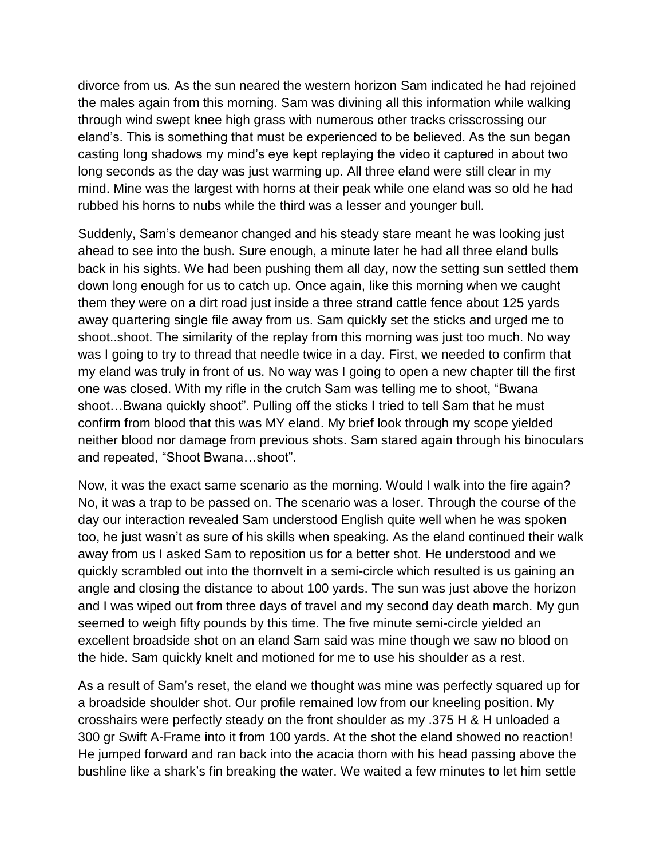divorce from us. As the sun neared the western horizon Sam indicated he had rejoined the males again from this morning. Sam was divining all this information while walking through wind swept knee high grass with numerous other tracks crisscrossing our eland's. This is something that must be experienced to be believed. As the sun began casting long shadows my mind's eye kept replaying the video it captured in about two long seconds as the day was just warming up. All three eland were still clear in my mind. Mine was the largest with horns at their peak while one eland was so old he had rubbed his horns to nubs while the third was a lesser and younger bull.

Suddenly, Sam's demeanor changed and his steady stare meant he was looking just ahead to see into the bush. Sure enough, a minute later he had all three eland bulls back in his sights. We had been pushing them all day, now the setting sun settled them down long enough for us to catch up. Once again, like this morning when we caught them they were on a dirt road just inside a three strand cattle fence about 125 yards away quartering single file away from us. Sam quickly set the sticks and urged me to shoot..shoot. The similarity of the replay from this morning was just too much. No way was I going to try to thread that needle twice in a day. First, we needed to confirm that my eland was truly in front of us. No way was I going to open a new chapter till the first one was closed. With my rifle in the crutch Sam was telling me to shoot, "Bwana shoot…Bwana quickly shoot". Pulling off the sticks I tried to tell Sam that he must confirm from blood that this was MY eland. My brief look through my scope yielded neither blood nor damage from previous shots. Sam stared again through his binoculars and repeated, "Shoot Bwana…shoot".

Now, it was the exact same scenario as the morning. Would I walk into the fire again? No, it was a trap to be passed on. The scenario was a loser. Through the course of the day our interaction revealed Sam understood English quite well when he was spoken too, he just wasn't as sure of his skills when speaking. As the eland continued their walk away from us I asked Sam to reposition us for a better shot. He understood and we quickly scrambled out into the thornvelt in a semi-circle which resulted is us gaining an angle and closing the distance to about 100 yards. The sun was just above the horizon and I was wiped out from three days of travel and my second day death march. My gun seemed to weigh fifty pounds by this time. The five minute semi-circle yielded an excellent broadside shot on an eland Sam said was mine though we saw no blood on the hide. Sam quickly knelt and motioned for me to use his shoulder as a rest.

As a result of Sam's reset, the eland we thought was mine was perfectly squared up for a broadside shoulder shot. Our profile remained low from our kneeling position. My crosshairs were perfectly steady on the front shoulder as my .375 H & H unloaded a 300 gr Swift A-Frame into it from 100 yards. At the shot the eland showed no reaction! He jumped forward and ran back into the acacia thorn with his head passing above the bushline like a shark's fin breaking the water. We waited a few minutes to let him settle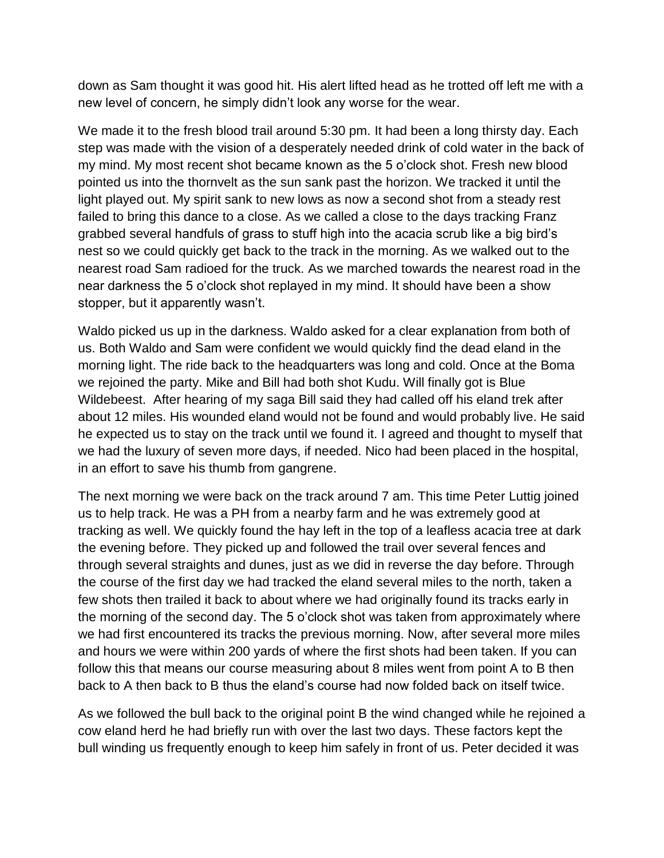down as Sam thought it was good hit. His alert lifted head as he trotted off left me with a new level of concern, he simply didn't look any worse for the wear.

We made it to the fresh blood trail around 5:30 pm. It had been a long thirsty day. Each step was made with the vision of a desperately needed drink of cold water in the back of my mind. My most recent shot became known as the 5 o'clock shot. Fresh new blood pointed us into the thornvelt as the sun sank past the horizon. We tracked it until the light played out. My spirit sank to new lows as now a second shot from a steady rest failed to bring this dance to a close. As we called a close to the days tracking Franz grabbed several handfuls of grass to stuff high into the acacia scrub like a big bird's nest so we could quickly get back to the track in the morning. As we walked out to the nearest road Sam radioed for the truck. As we marched towards the nearest road in the near darkness the 5 o'clock shot replayed in my mind. It should have been a show stopper, but it apparently wasn't.

Waldo picked us up in the darkness. Waldo asked for a clear explanation from both of us. Both Waldo and Sam were confident we would quickly find the dead eland in the morning light. The ride back to the headquarters was long and cold. Once at the Boma we rejoined the party. Mike and Bill had both shot Kudu. Will finally got is Blue Wildebeest. After hearing of my saga Bill said they had called off his eland trek after about 12 miles. His wounded eland would not be found and would probably live. He said he expected us to stay on the track until we found it. I agreed and thought to myself that we had the luxury of seven more days, if needed. Nico had been placed in the hospital, in an effort to save his thumb from gangrene.

The next morning we were back on the track around 7 am. This time Peter Luttig joined us to help track. He was a PH from a nearby farm and he was extremely good at tracking as well. We quickly found the hay left in the top of a leafless acacia tree at dark the evening before. They picked up and followed the trail over several fences and through several straights and dunes, just as we did in reverse the day before. Through the course of the first day we had tracked the eland several miles to the north, taken a few shots then trailed it back to about where we had originally found its tracks early in the morning of the second day. The 5 o'clock shot was taken from approximately where we had first encountered its tracks the previous morning. Now, after several more miles and hours we were within 200 yards of where the first shots had been taken. If you can follow this that means our course measuring about 8 miles went from point A to B then back to A then back to B thus the eland's course had now folded back on itself twice.

As we followed the bull back to the original point B the wind changed while he rejoined a cow eland herd he had briefly run with over the last two days. These factors kept the bull winding us frequently enough to keep him safely in front of us. Peter decided it was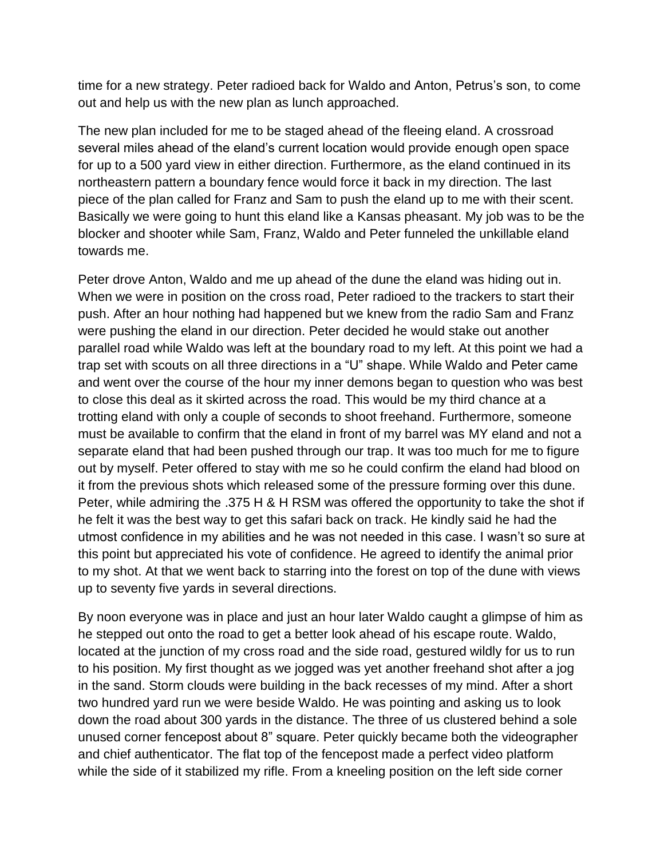time for a new strategy. Peter radioed back for Waldo and Anton, Petrus's son, to come out and help us with the new plan as lunch approached.

The new plan included for me to be staged ahead of the fleeing eland. A crossroad several miles ahead of the eland's current location would provide enough open space for up to a 500 yard view in either direction. Furthermore, as the eland continued in its northeastern pattern a boundary fence would force it back in my direction. The last piece of the plan called for Franz and Sam to push the eland up to me with their scent. Basically we were going to hunt this eland like a Kansas pheasant. My job was to be the blocker and shooter while Sam, Franz, Waldo and Peter funneled the unkillable eland towards me.

Peter drove Anton, Waldo and me up ahead of the dune the eland was hiding out in. When we were in position on the cross road, Peter radioed to the trackers to start their push. After an hour nothing had happened but we knew from the radio Sam and Franz were pushing the eland in our direction. Peter decided he would stake out another parallel road while Waldo was left at the boundary road to my left. At this point we had a trap set with scouts on all three directions in a "U" shape. While Waldo and Peter came and went over the course of the hour my inner demons began to question who was best to close this deal as it skirted across the road. This would be my third chance at a trotting eland with only a couple of seconds to shoot freehand. Furthermore, someone must be available to confirm that the eland in front of my barrel was MY eland and not a separate eland that had been pushed through our trap. It was too much for me to figure out by myself. Peter offered to stay with me so he could confirm the eland had blood on it from the previous shots which released some of the pressure forming over this dune. Peter, while admiring the .375 H & H RSM was offered the opportunity to take the shot if he felt it was the best way to get this safari back on track. He kindly said he had the utmost confidence in my abilities and he was not needed in this case. I wasn't so sure at this point but appreciated his vote of confidence. He agreed to identify the animal prior to my shot. At that we went back to starring into the forest on top of the dune with views up to seventy five yards in several directions.

By noon everyone was in place and just an hour later Waldo caught a glimpse of him as he stepped out onto the road to get a better look ahead of his escape route. Waldo, located at the junction of my cross road and the side road, gestured wildly for us to run to his position. My first thought as we jogged was yet another freehand shot after a jog in the sand. Storm clouds were building in the back recesses of my mind. After a short two hundred yard run we were beside Waldo. He was pointing and asking us to look down the road about 300 yards in the distance. The three of us clustered behind a sole unused corner fencepost about 8" square. Peter quickly became both the videographer and chief authenticator. The flat top of the fencepost made a perfect video platform while the side of it stabilized my rifle. From a kneeling position on the left side corner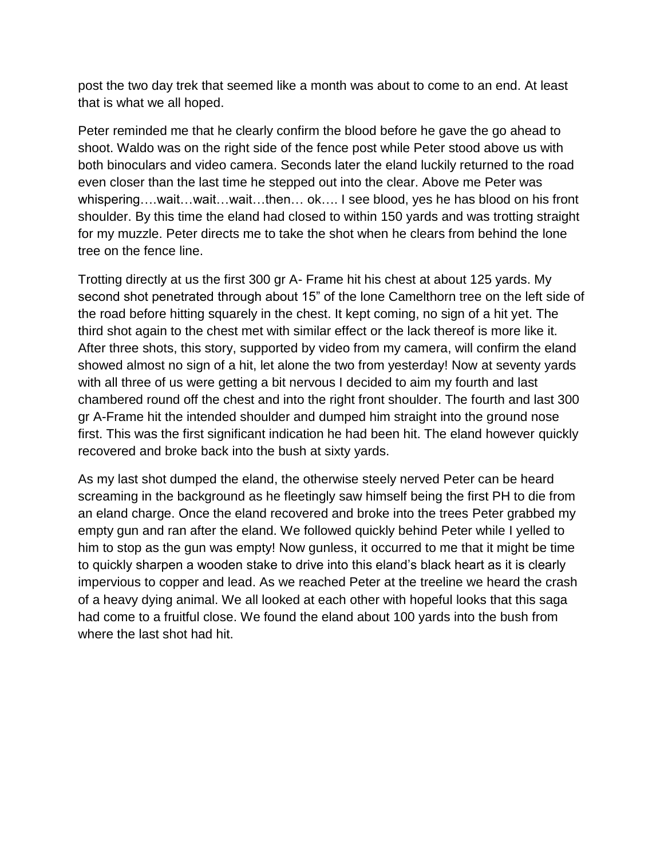post the two day trek that seemed like a month was about to come to an end. At least that is what we all hoped.

Peter reminded me that he clearly confirm the blood before he gave the go ahead to shoot. Waldo was on the right side of the fence post while Peter stood above us with both binoculars and video camera. Seconds later the eland luckily returned to the road even closer than the last time he stepped out into the clear. Above me Peter was whispering….wait…wait…wait…then… ok…. I see blood, yes he has blood on his front shoulder. By this time the eland had closed to within 150 yards and was trotting straight for my muzzle. Peter directs me to take the shot when he clears from behind the lone tree on the fence line.

Trotting directly at us the first 300 gr A- Frame hit his chest at about 125 yards. My second shot penetrated through about 15" of the lone Camelthorn tree on the left side of the road before hitting squarely in the chest. It kept coming, no sign of a hit yet. The third shot again to the chest met with similar effect or the lack thereof is more like it. After three shots, this story, supported by video from my camera, will confirm the eland showed almost no sign of a hit, let alone the two from yesterday! Now at seventy yards with all three of us were getting a bit nervous I decided to aim my fourth and last chambered round off the chest and into the right front shoulder. The fourth and last 300 gr A-Frame hit the intended shoulder and dumped him straight into the ground nose first. This was the first significant indication he had been hit. The eland however quickly recovered and broke back into the bush at sixty yards.

As my last shot dumped the eland, the otherwise steely nerved Peter can be heard screaming in the background as he fleetingly saw himself being the first PH to die from an eland charge. Once the eland recovered and broke into the trees Peter grabbed my empty gun and ran after the eland. We followed quickly behind Peter while I yelled to him to stop as the gun was empty! Now gunless, it occurred to me that it might be time to quickly sharpen a wooden stake to drive into this eland's black heart as it is clearly impervious to copper and lead. As we reached Peter at the treeline we heard the crash of a heavy dying animal. We all looked at each other with hopeful looks that this saga had come to a fruitful close. We found the eland about 100 yards into the bush from where the last shot had hit.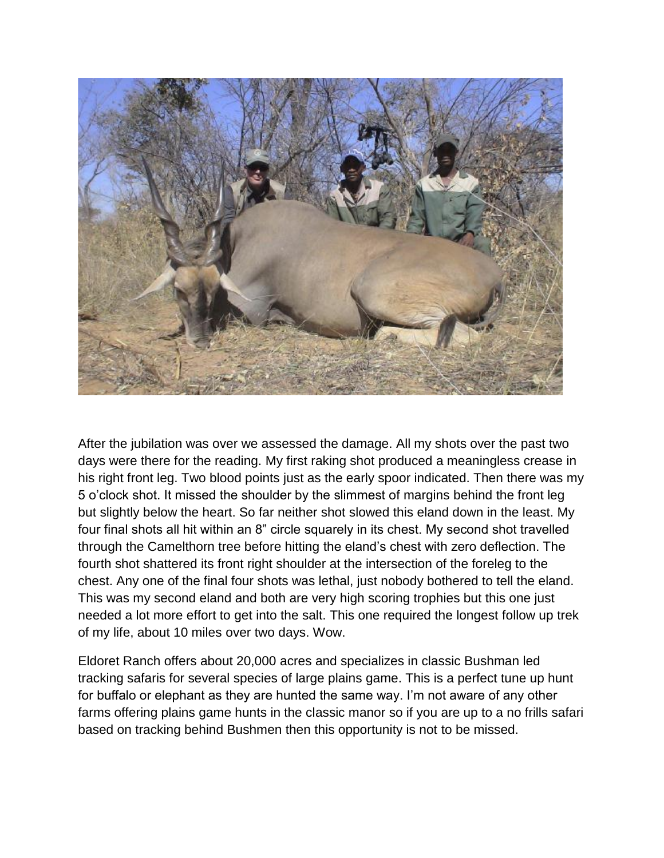

After the jubilation was over we assessed the damage. All my shots over the past two days were there for the reading. My first raking shot produced a meaningless crease in his right front leg. Two blood points just as the early spoor indicated. Then there was my 5 o'clock shot. It missed the shoulder by the slimmest of margins behind the front leg but slightly below the heart. So far neither shot slowed this eland down in the least. My four final shots all hit within an 8" circle squarely in its chest. My second shot travelled through the Camelthorn tree before hitting the eland's chest with zero deflection. The fourth shot shattered its front right shoulder at the intersection of the foreleg to the chest. Any one of the final four shots was lethal, just nobody bothered to tell the eland. This was my second eland and both are very high scoring trophies but this one just needed a lot more effort to get into the salt. This one required the longest follow up trek of my life, about 10 miles over two days. Wow.

Eldoret Ranch offers about 20,000 acres and specializes in classic Bushman led tracking safaris for several species of large plains game. This is a perfect tune up hunt for buffalo or elephant as they are hunted the same way. I'm not aware of any other farms offering plains game hunts in the classic manor so if you are up to a no frills safari based on tracking behind Bushmen then this opportunity is not to be missed.